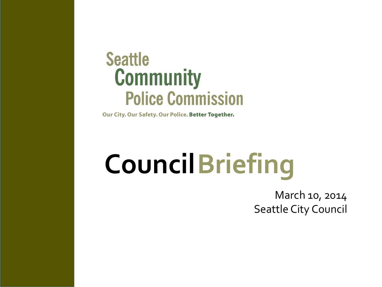### **Seattle Community Police Commission**

Our City. Our Safety. Our Police. Better Together.

# **CouncilBriefing**

March 10, 2014 Seattle City Council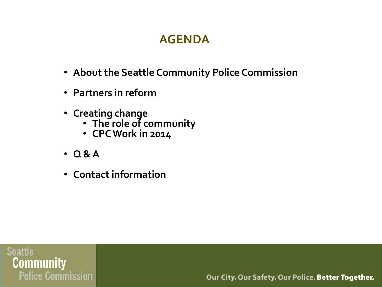#### **AGENDA**

- **About the Seattle Community Police Commission**
- **Partners in reform**
- **Creating change**
	- **The role of community**
	- **CPC Work in 2014**
- **Q & A**
- **Contact information**

**Seattle Community Police Commission**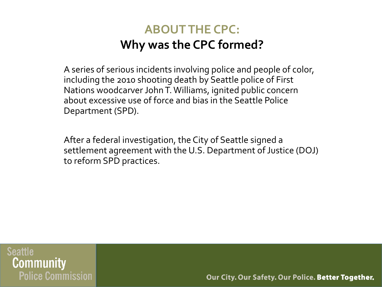#### **ABOUT THE CPC: Why was the CPC formed?**

A series of serious incidents involving police and people of color, including the 2010 shooting death by Seattle police of First Nations woodcarver John T. Williams, ignited public concern about excessive use of force and bias in the Seattle Police Department (SPD).

After a federal investigation, the City of Seattle signed a settlement agreement with the U.S. Department of Justice (DOJ) to reform SPD practices.

**Seattle** Community **Police Commission**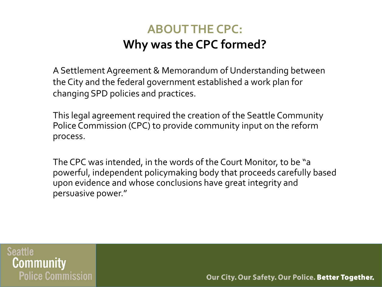#### **ABOUT THE CPC: Why was the CPC formed?**

A Settlement Agreement & Memorandum of Understanding between the City and the federal government established a work plan for changing SPD policies and practices.

This legal agreement required the creation of the Seattle Community Police Commission (CPC) to provide community input on the reform process.

The CPC was intended, in the words of the Court Monitor, to be "a powerful, independent policymaking body that proceeds carefully based upon evidence and whose conclusions have great integrity and persuasive power."

**Seattle** Communitv **Police Commission**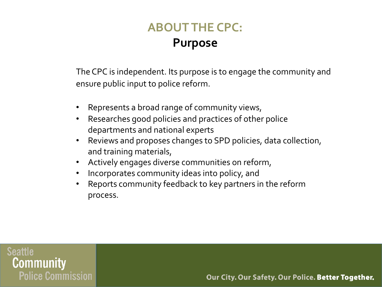#### **ABOUT THE CPC: Purpose**

The CPC is independent. Its purpose is to engage the community and ensure public input to police reform.

- Represents a broad range of community views,
- Researches good policies and practices of other police departments and national experts
- Reviews and proposes changes to SPD policies, data collection, and training materials,
- Actively engages diverse communities on reform,
- Incorporates community ideas into policy, and
- Reports community feedback to key partners in the reform process.

**Seattle** Community **Police Commission**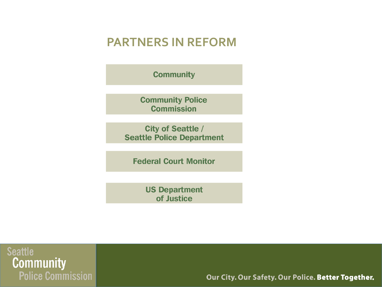#### **PARTNERS IN REFORM**

**Community** 

**Community Police Commission** 

**City of Seattle / Seattle Police Department** 

**Federal Court Monitor** 

**US Department** of Justice

**Seattle Community Police Commission**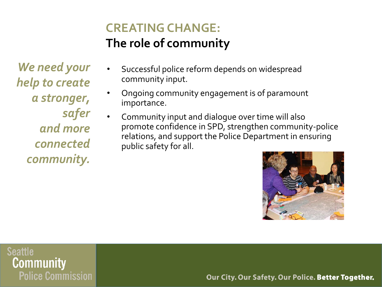#### **CREATING CHANGE: The role of community**

*We need your help to create a stronger, safer and more connected community.*

- Successful police reform depends on widespread community input.
- Ongoing community engagement is of paramount importance.
- Community input and dialogue over time will also promote confidence in SPD, strengthen community-police relations, and support the Police Department in ensuring public safety for all.



**Seattle** Community **Police Commission**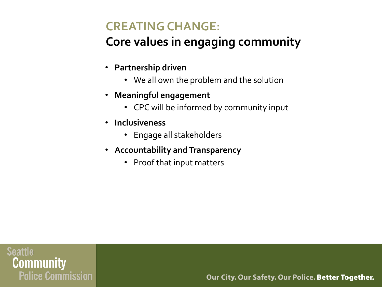#### **CREATING CHANGE:**

#### **Core values in engaging community**

- **Partnership driven**
	- We all own the problem and the solution
- **Meaningful engagement**
	- CPC will be informed by community input
- **Inclusiveness**
	- Engage all stakeholders
- **Accountability and Transparency** 
	- Proof that input matters

**Seattle** Community **Police Commission**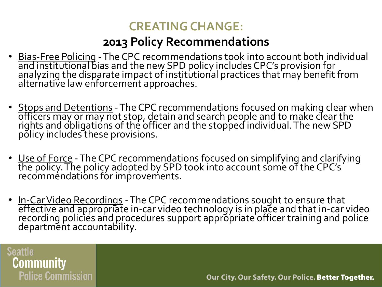#### **CREATING CHANGE:**

#### **2013 Policy Recommendations**

- Bias-Free Policing The CPC recommendations took into account both individual and institutional bias and the new SPD policy includes CPC's provision for analyzing the disparate impact of institutional practices that may benefit from alternative law enforcement approaches.
- Stops and Detentions The CPC recommendations focused on making clear when officers may or may not stop, detain and search people and to make clear the rights and obligations of the officer and the stopped individual. The new SPD policy includes these provisions.
- Use of Force The CPC recommendations focused on simplifying and clarifying the policy. The policy adopted by SPD took into account some of the CPC's  $^{\circ}$ recommendations for improvements.
- In-Car Video Recordings The CPC recommendations sought to ensure that effective and appropriate in‐car video technology is in place and that in‐car video recording policies and procedures support appropriate officer training and police department accountability.

**Seattle Community Police Commission**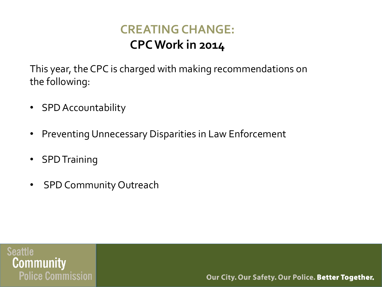#### **CREATING CHANGE: CPC Work in 2014**

This year, the CPC is charged with making recommendations on the following:

- SPD Accountability
- Preventing Unnecessary Disparities in Law Enforcement
- SPD Training
- SPD Community Outreach

**Seattle** Community **Police Commission**